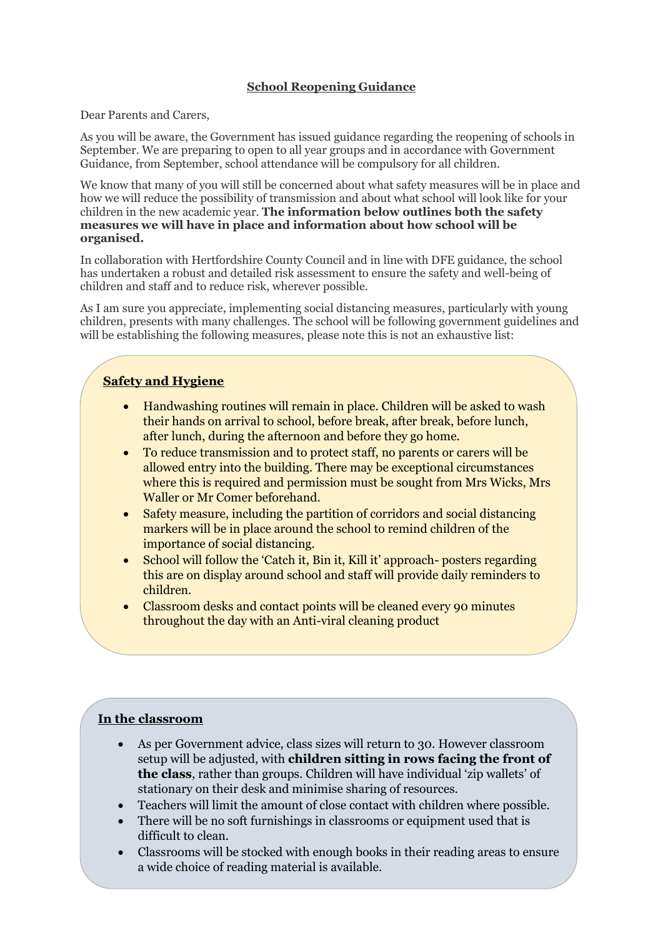### **School Reopening Guidance**

Dear Parents and Carers,

As you will be aware, the Government has issued guidance regarding the reopening of schools in September. We are preparing to open to all year groups and in accordance with Government Guidance, from September, school attendance will be compulsory for all children.

We know that many of you will still be concerned about what safety measures will be in place and how we will reduce the possibility of transmission and about what school will look like for your children in the new academic year. **The information below outlines both the safety measures we will have in place and information about how school will be organised.**

In collaboration with Hertfordshire County Council and in line with DFE guidance, the school has undertaken a robust and detailed risk assessment to ensure the safety and well-being of children and staff and to reduce risk, wherever possible.

As I am sure you appreciate, implementing social distancing measures, particularly with young children, presents with many challenges. The school will be following government guidelines and will be establishing the following measures, please note this is not an exhaustive list:

# **Safety and Hygiene**

- Handwashing routines will remain in place. Children will be asked to wash their hands on arrival to school, before break, after break, before lunch, after lunch, during the afternoon and before they go home.
- To reduce transmission and to protect staff, no parents or carers will be allowed entry into the building. There may be exceptional circumstances where this is required and permission must be sought from Mrs Wicks, Mrs Waller or Mr Comer beforehand.
- Safety measure, including the partition of corridors and social distancing markers will be in place around the school to remind children of the importance of social distancing.
- School will follow the 'Catch it, Bin it, Kill it' approach- posters regarding this are on display around school and staff will provide daily reminders to children.
- Classroom desks and contact points will be cleaned every 90 minutes throughout the day with an Anti-viral cleaning product

### **In the classroom**

- As per Government advice, class sizes will return to 30. However classroom setup will be adjusted, with **children sitting in rows facing the front of the class**, rather than groups. Children will have individual 'zip wallets' of stationary on their desk and minimise sharing of resources.
- Teachers will limit the amount of close contact with children where possible.
- There will be no soft furnishings in classrooms or equipment used that is difficult to clean.
- Classrooms will be stocked with enough books in their reading areas to ensure a wide choice of reading material is available.